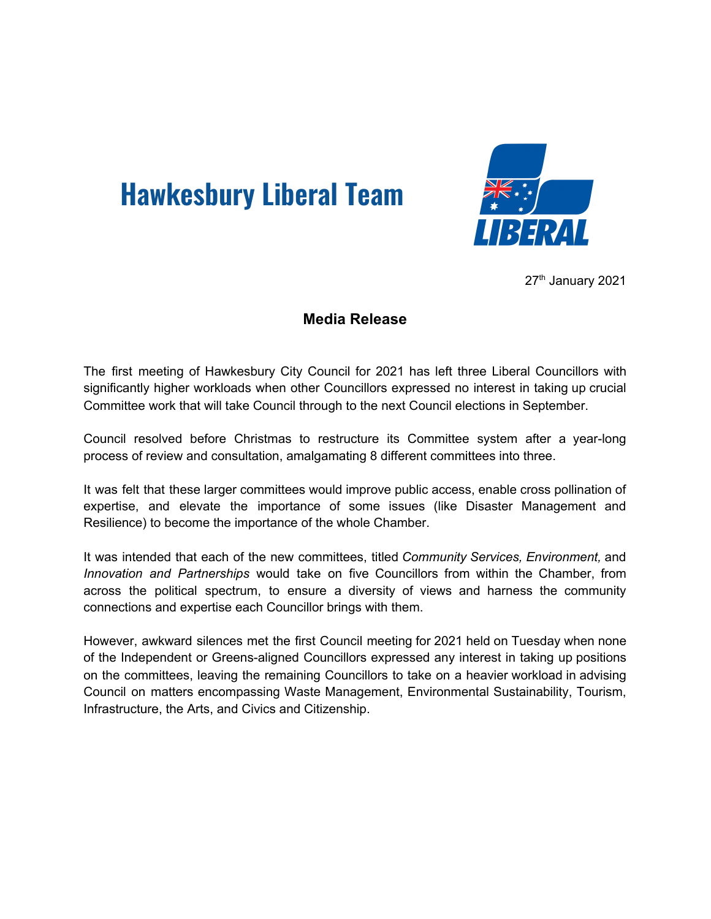## **Hawkesbury Liberal Team**



27<sup>th</sup> January 2021

## **Media Release**

The first meeting of Hawkesbury City Council for 2021 has left three Liberal Councillors with significantly higher workloads when other Councillors expressed no interest in taking up crucial Committee work that will take Council through to the next Council elections in September.

Council resolved before Christmas to restructure its Committee system after a year-long process of review and consultation, amalgamating 8 different committees into three.

It was felt that these larger committees would improve public access, enable cross pollination of expertise, and elevate the importance of some issues (like Disaster Management and Resilience) to become the importance of the whole Chamber.

It was intended that each of the new committees, titled *Community Services, Environment,* and *Innovation and Partnerships* would take on five Councillors from within the Chamber, from across the political spectrum, to ensure a diversity of views and harness the community connections and expertise each Councillor brings with them.

However, awkward silences met the first Council meeting for 2021 held on Tuesday when none of the Independent or Greens-aligned Councillors expressed any interest in taking up positions on the committees, leaving the remaining Councillors to take on a heavier workload in advising Council on matters encompassing Waste Management, Environmental Sustainability, Tourism, Infrastructure, the Arts, and Civics and Citizenship.